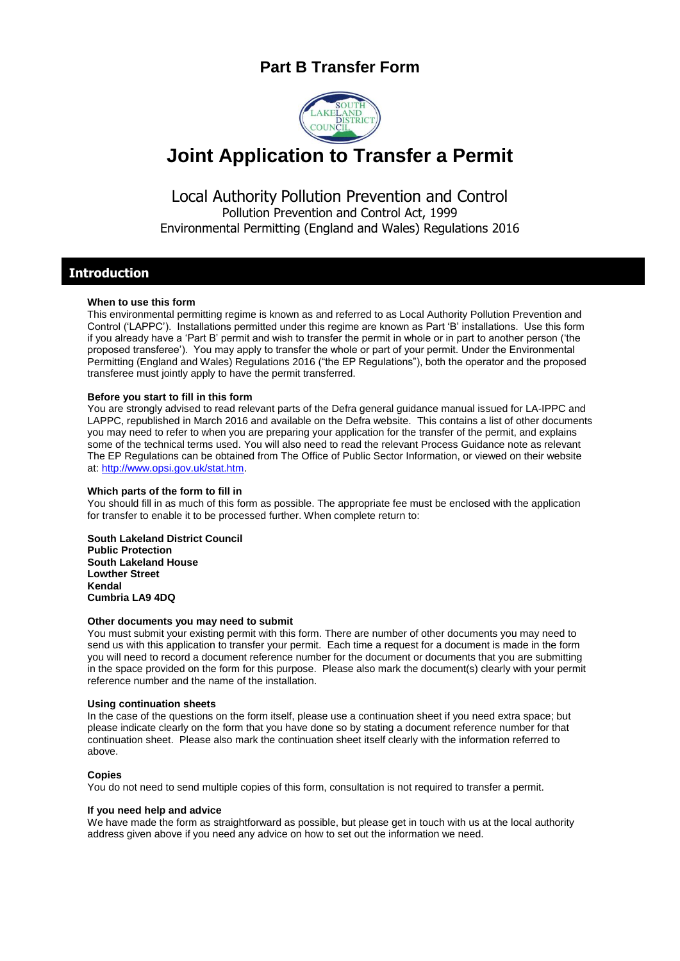## **Part B Transfer Form**



# **Joint Application to Transfer a Permit**

Local Authority Pollution Prevention and Control Pollution Prevention and Control Act, 1999 Environmental Permitting (England and Wales) Regulations 2016

### **Introduction**

#### **When to use this form**

This environmental permitting regime is known as and referred to as Local Authority Pollution Prevention and Control ('LAPPC'). Installations permitted under this regime are known as Part 'B' installations. Use this form if you already have a 'Part B' permit and wish to transfer the permit in whole or in part to another person ('the proposed transferee'). You may apply to transfer the whole or part of your permit. Under the Environmental Permitting (England and Wales) Regulations 2016 ("the EP Regulations"), both the operator and the proposed transferee must jointly apply to have the permit transferred.

#### **Before you start to fill in this form**

You are strongly advised to read relevant parts of the Defra general guidance manual issued for LA-IPPC and LAPPC, republished in March 2016 and available on the Defra website. This contains a list of other documents you may need to refer to when you are preparing your application for the transfer of the permit, and explains some of the technical terms used. You will also need to read the relevant Process Guidance note as relevant The EP Regulations can be obtained from The Office of Public Sector Information, or viewed on their website at: [http://www.opsi.gov.uk/stat.htm.](http://www.opsi.gov.uk/stat.htm)

#### **Which parts of the form to fill in**

You should fill in as much of this form as possible. The appropriate fee must be enclosed with the application for transfer to enable it to be processed further. When complete return to:

**South Lakeland District Council Public Protection South Lakeland House Lowther Street Kendal Cumbria LA9 4DQ**

#### **Other documents you may need to submit**

You must submit your existing permit with this form. There are number of other documents you may need to send us with this application to transfer your permit. Each time a request for a document is made in the form you will need to record a document reference number for the document or documents that you are submitting in the space provided on the form for this purpose. Please also mark the document(s) clearly with your permit reference number and the name of the installation.

#### **Using continuation sheets**

In the case of the questions on the form itself, please use a continuation sheet if you need extra space; but please indicate clearly on the form that you have done so by stating a document reference number for that continuation sheet. Please also mark the continuation sheet itself clearly with the information referred to above.

#### **Copies**

You do not need to send multiple copies of this form, consultation is not required to transfer a permit.

#### **If you need help and advice**

We have made the form as straightforward as possible, but please get in touch with us at the local authority address given above if you need any advice on how to set out the information we need.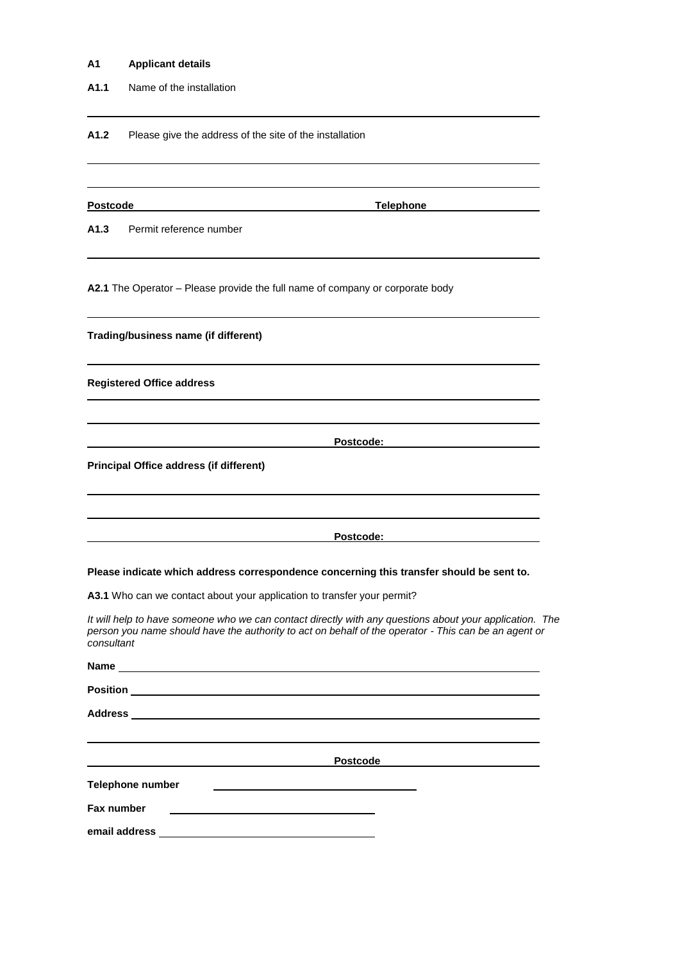#### **A1 Applicant details**

**A1.1** Name of the installation

A1.2 Please give the address of the site of the installation

**Postcode Telephone**

**A1.3** Permit reference number

**A2.1** The Operator – Please provide the full name of company or corporate body

**Trading/business name (if different)**

**Registered Office address**

**Postcode:**

**Principal Office address (if different)**

**Postcode:**

**Please indicate which address correspondence concerning this transfer should be sent to.** 

**A3.1** Who can we contact about your application to transfer your permit?

*It will help to have someone who we can contact directly with any questions about your application. The person you name should have the authority to act on behalf of the operator - This can be an agent or consultant*

|                  | <b>Postcode</b>                                                                                                      |  |
|------------------|----------------------------------------------------------------------------------------------------------------------|--|
| Telephone number |                                                                                                                      |  |
| Fax number       |                                                                                                                      |  |
| email address    | <u> Alexandria de la contrada de la contrada de la contrada de la contrada de la contrada de la contrada de la c</u> |  |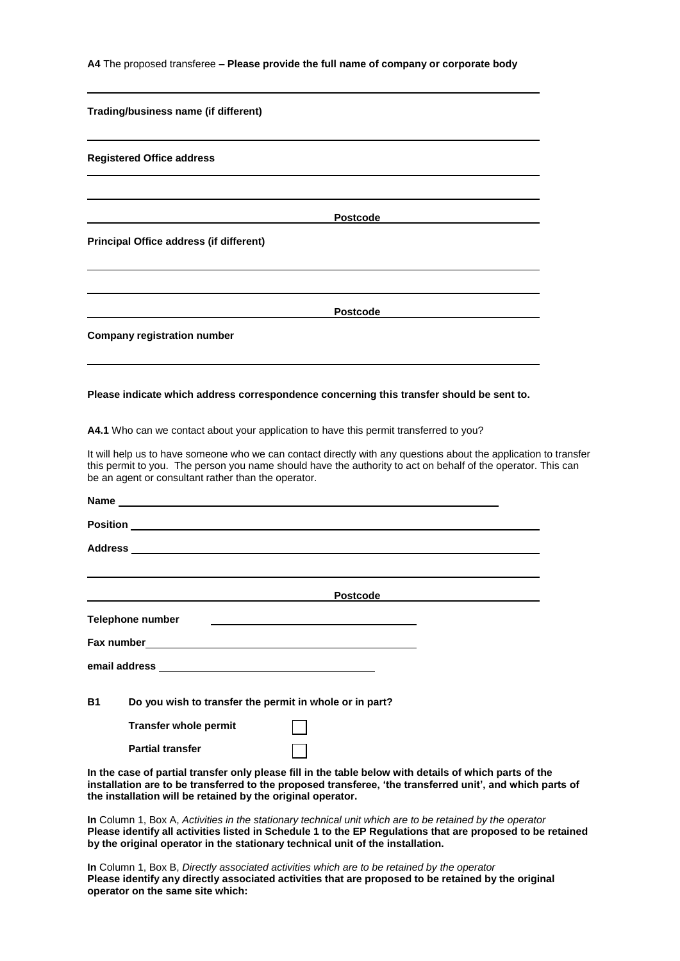**A4** The proposed transferee **– Please provide the full name of company or corporate body**

| Trading/business name (if different)                                                                                                                                                                                                                                                                     |
|----------------------------------------------------------------------------------------------------------------------------------------------------------------------------------------------------------------------------------------------------------------------------------------------------------|
| <b>Registered Office address</b>                                                                                                                                                                                                                                                                         |
|                                                                                                                                                                                                                                                                                                          |
| <b>Postcode</b>                                                                                                                                                                                                                                                                                          |
| <b>Principal Office address (if different)</b>                                                                                                                                                                                                                                                           |
|                                                                                                                                                                                                                                                                                                          |
|                                                                                                                                                                                                                                                                                                          |
| Postcode<br><b>Company registration number</b>                                                                                                                                                                                                                                                           |
|                                                                                                                                                                                                                                                                                                          |
| Please indicate which address correspondence concerning this transfer should be sent to.                                                                                                                                                                                                                 |
| A4.1 Who can we contact about your application to have this permit transferred to you?                                                                                                                                                                                                                   |
| It will help us to have someone who we can contact directly with any questions about the application to transfer<br>this permit to you. The person you name should have the authority to act on behalf of the operator. This can<br>be an agent or consultant rather than the operator.                  |
| Name and the contract of the contract of the contract of the contract of the contract of the contract of the contract of the contract of the contract of the contract of the contract of the contract of the contract of the c                                                                           |
|                                                                                                                                                                                                                                                                                                          |
| Address and the contract of the contract of the contract of the contract of the contract of the contract of the                                                                                                                                                                                          |
|                                                                                                                                                                                                                                                                                                          |
| <b>Postcode</b>                                                                                                                                                                                                                                                                                          |
| <b>Telephone number</b><br><u> 1980 - Johann Barbara, martin a</u>                                                                                                                                                                                                                                       |
|                                                                                                                                                                                                                                                                                                          |
| email address expression and the set of the set of the set of the set of the set of the set of the set of the                                                                                                                                                                                            |
| <b>B1</b><br>Do you wish to transfer the permit in whole or in part?                                                                                                                                                                                                                                     |
| <b>Transfer whole permit</b>                                                                                                                                                                                                                                                                             |
| <b>Partial transfer</b>                                                                                                                                                                                                                                                                                  |
| In the case of partial transfer only please fill in the table below with details of which parts of the<br>installation are to be transferred to the proposed transferee, 'the transferred unit', and which parts of<br>the installation will be retained by the original operator.                       |
| In Column 1, Box A, Activities in the stationary technical unit which are to be retained by the operator<br>Please identify all activities listed in Schedule 1 to the EP Regulations that are proposed to be retained<br>by the original operator in the stationary technical unit of the installation. |
| In Column 1, Day B. Directly appointed activities which are to be retained by the eperator                                                                                                                                                                                                               |

**In** Column 1, Box B, *Directly associated activities which are to be retained by the operator* **Please identify any directly associated activities that are proposed to be retained by the original operator on the same site which:**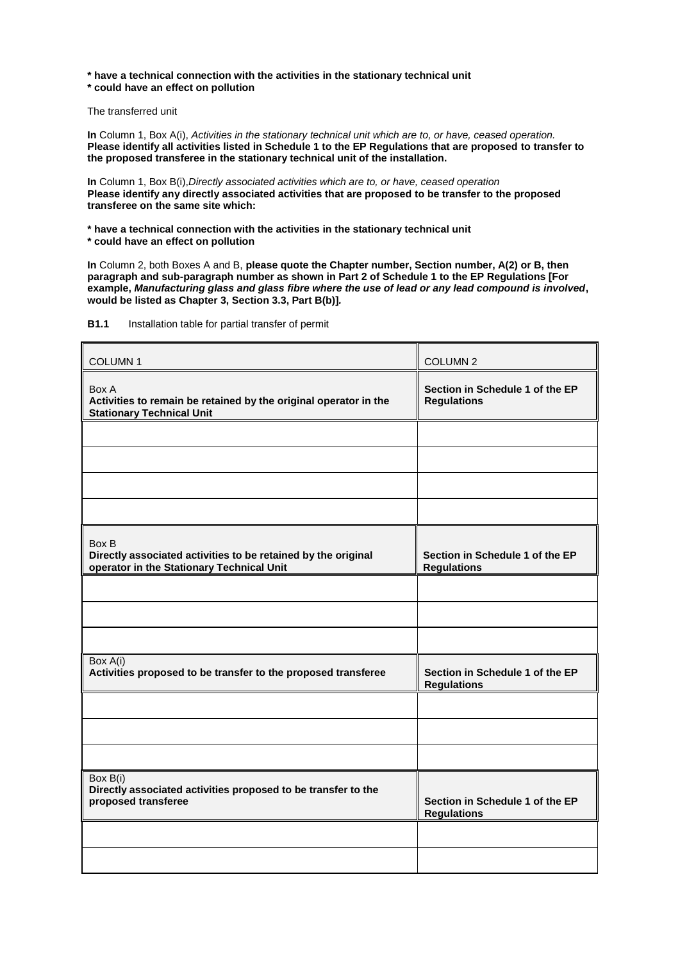**\* have a technical connection with the activities in the stationary technical unit \* could have an effect on pollution**

The transferred unit

**In** Column 1, Box A(i), *Activities in the stationary technical unit which are to, or have, ceased operation.*  **Please identify all activities listed in Schedule 1 to the EP Regulations that are proposed to transfer to the proposed transferee in the stationary technical unit of the installation.**

**In** Column 1, Box B(i),*Directly associated activities which are to, or have, ceased operation* **Please identify any directly associated activities that are proposed to be transfer to the proposed transferee on the same site which:**

**\* have a technical connection with the activities in the stationary technical unit \* could have an effect on pollution**

**In** Column 2, both Boxes A and B, **please quote the Chapter number, Section number, A(2) or B, then paragraph and sub-paragraph number as shown in Part 2 of Schedule 1 to the EP Regulations [For example,** *Manufacturing glass and glass fibre where the use of lead or any lead compound is involved***, would be listed as Chapter 3, Section 3.3, Part B(b)]***.*

| <b>COLUMN1</b>                                                                                                      | <b>COLUMN 2</b>                                       |
|---------------------------------------------------------------------------------------------------------------------|-------------------------------------------------------|
| Box A<br>Activities to remain be retained by the original operator in the<br><b>Stationary Technical Unit</b>       | Section in Schedule 1 of the EP<br><b>Regulations</b> |
|                                                                                                                     |                                                       |
|                                                                                                                     |                                                       |
|                                                                                                                     |                                                       |
|                                                                                                                     |                                                       |
| Box B<br>Directly associated activities to be retained by the original<br>operator in the Stationary Technical Unit | Section in Schedule 1 of the EP<br><b>Regulations</b> |
|                                                                                                                     |                                                       |
|                                                                                                                     |                                                       |
|                                                                                                                     |                                                       |
| Box A(i)<br>Activities proposed to be transfer to the proposed transferee                                           | Section in Schedule 1 of the EP<br><b>Regulations</b> |
|                                                                                                                     |                                                       |
|                                                                                                                     |                                                       |
|                                                                                                                     |                                                       |
| Box B(i)<br>Directly associated activities proposed to be transfer to the<br>proposed transferee                    | Section in Schedule 1 of the EP<br><b>Regulations</b> |
|                                                                                                                     |                                                       |
|                                                                                                                     |                                                       |

**B1.1** Installation table for partial transfer of permit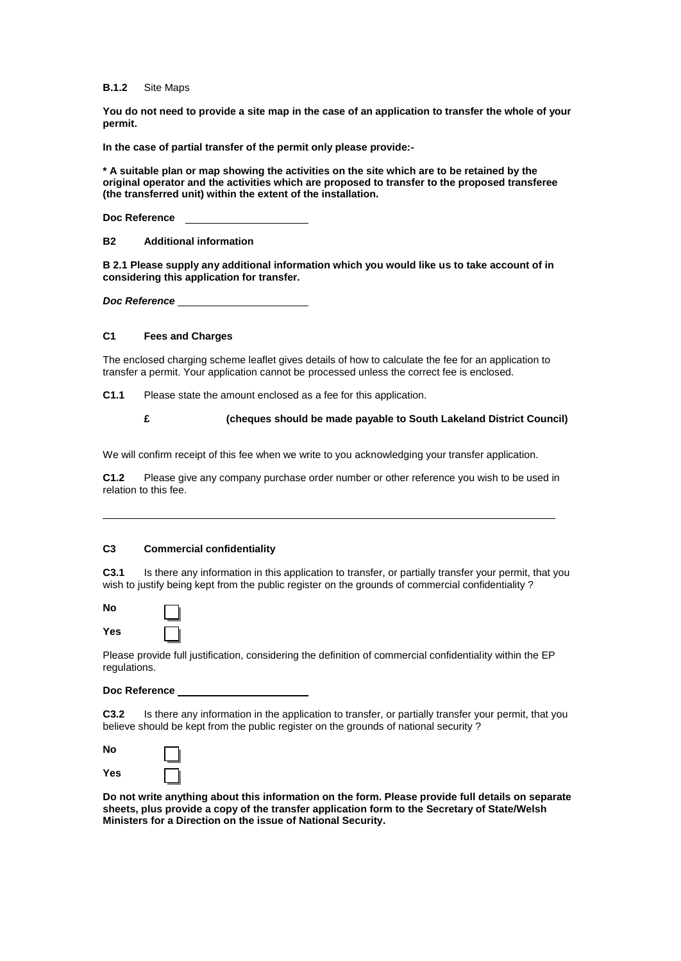**B.1.2** Site Maps

**You do not need to provide a site map in the case of an application to transfer the whole of your permit.** 

**In the case of partial transfer of the permit only please provide:-**

**\* A suitable plan or map showing the activities on the site which are to be retained by the original operator and the activities which are proposed to transfer to the proposed transferee (the transferred unit) within the extent of the installation.** 

**Doc Reference** 

**B2 Additional information**

**B 2.1 Please supply any additional information which you would like us to take account of in considering this application for transfer.**

*Doc Reference*

#### **C1 Fees and Charges**

The enclosed charging scheme leaflet gives details of how to calculate the fee for an application to transfer a permit. Your application cannot be processed unless the correct fee is enclosed.

**C1.1** Please state the amount enclosed as a fee for this application.

**£ (cheques should be made payable to South Lakeland District Council)**

We will confirm receipt of this fee when we write to you acknowledging your transfer application.

**C1.2** Please give any company purchase order number or other reference you wish to be used in relation to this fee.

#### **C3 Commercial confidentiality**

⅃ ٦

**C3.1** Is there any information in this application to transfer, or partially transfer your permit, that you wish to justify being kept from the public register on the grounds of commercial confidentiality ?

| No  |  |
|-----|--|
| Yes |  |

Please provide full justification, considering the definition of commercial confidentiality within the EP regulations.

**Doc Reference** 

**C3.2** Is there any information in the application to transfer, or partially transfer your permit, that you believe should be kept from the public register on the grounds of national security ?

| <b>No</b> |  |
|-----------|--|
| Yes       |  |

**Do not write anything about this information on the form. Please provide full details on separate sheets, plus provide a copy of the transfer application form to the Secretary of State/Welsh Ministers for a Direction on the issue of National Security.**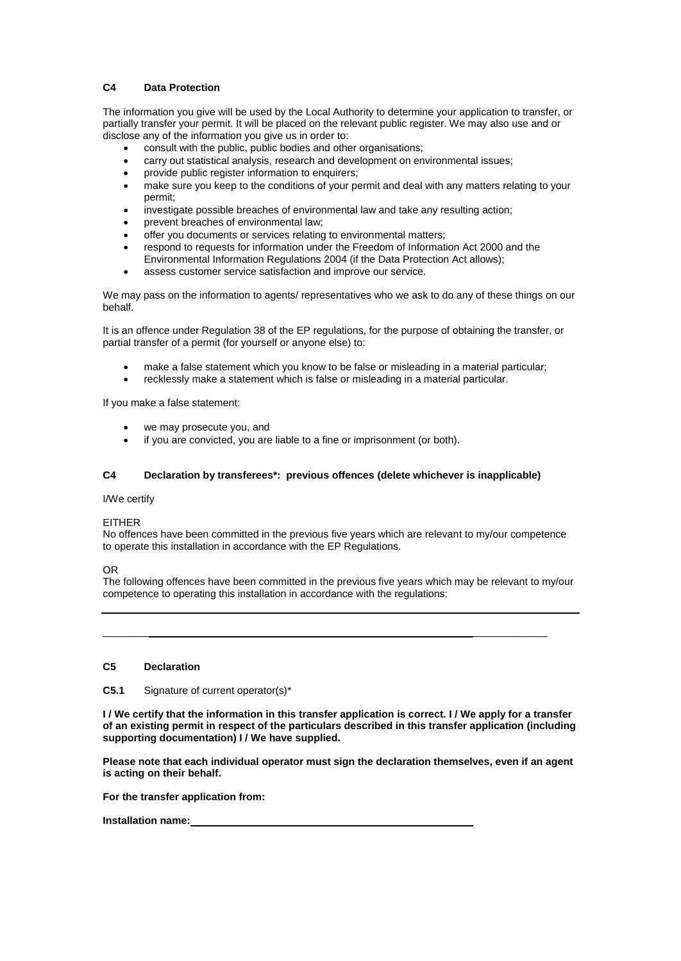#### **C4 Data Protection**

The information you give will be used by the Local Authority to determine your application to transfer, or partially transfer your permit. It will be placed on the relevant public register. We may also use and or disclose any of the information you give us in order to:

- consult with the public, public bodies and other organisations;
- carry out statistical analysis, research and development on environmental issues;
- provide public register information to enquirers:
- make sure you keep to the conditions of your permit and deal with any matters relating to your permit;
- investigate possible breaches of environmental law and take any resulting action;
- prevent breaches of environmental law;
- offer you documents or services relating to environmental matters;
- respond to requests for information under the Freedom of Information Act 2000 and the Environmental Information Regulations 2004 (if the Data Protection Act allows);
- assess customer service satisfaction and improve our service.

We may pass on the information to agents/ representatives who we ask to do any of these things on our behalf.

It is an offence under Regulation 38 of the EP regulations, for the purpose of obtaining the transfer, or partial transfer of a permit (for yourself or anyone else) to:

- make a false statement which you know to be false or misleading in a material particular;
- recklessly make a statement which is false or misleading in a material particular.

If you make a false statement:

- we may prosecute you, and
- if you are convicted, you are liable to a fine or imprisonment (or both).

#### **C4 Declaration by transferees\*: previous offences (delete whichever is inapplicable)**

#### I/We certify

#### EITHER

No offences have been committed in the previous five years which are relevant to my/our competence to operate this installation in accordance with the EP Regulations.

OR

The following offences have been committed in the previous five years which may be relevant to my/our competence to operating this installation in accordance with the regulations:

\_\_\_\_\_\_\_\_ \_\_\_\_\_\_\_\_\_\_\_\_\_

#### **C5 Declaration**

**C5.1** Signature of current operator(s)\*

**I / We certify that the information in this transfer application is correct. I / We apply for a transfer of an existing permit in respect of the particulars described in this transfer application (including supporting documentation) I / We have supplied.**

**Please note that each individual operator must sign the declaration themselves, even if an agent is acting on their behalf.**

**For the transfer application from:**

**Installation name:**